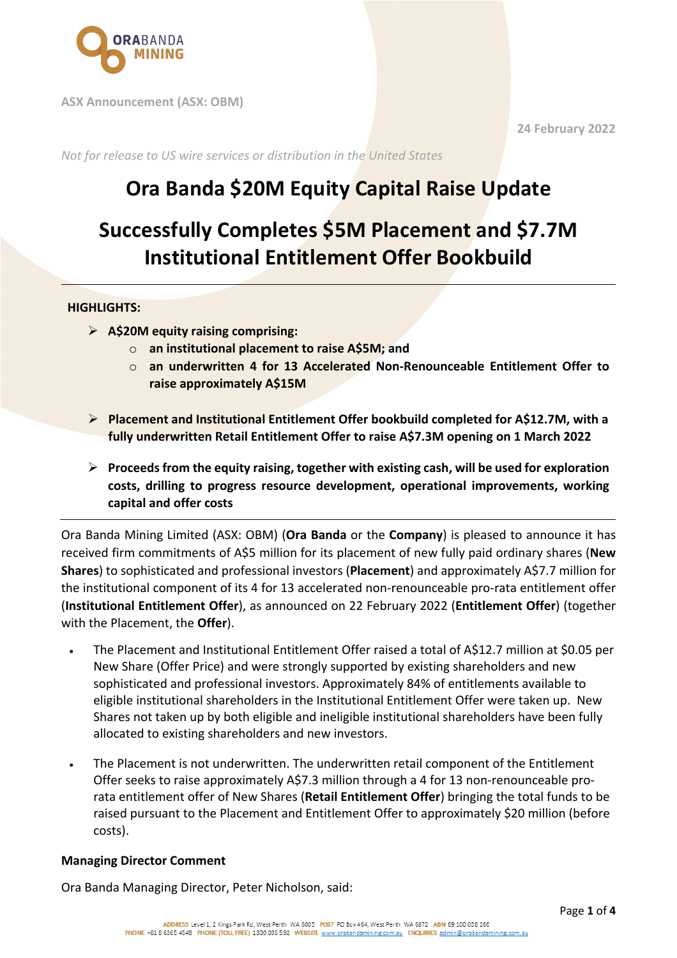

**ASX Announcement (ASX: OBM)**

**24 February 2022**

*Not for release to US wire services or distribution in the United States*

## **Ora Banda \$20M Equity Capital Raise Update**

# **Successfully Completes \$5M Placement and \$7.7M Institutional Entitlement Offer Bookbuild**

## **HIGHLIGHTS:**

- Ø **A\$20M equity raising comprising:**
	- o **an institutional placement to raise A\$5M; and**
	- o **an underwritten 4 for 13 Accelerated Non-Renounceable Entitlement Offer to raise approximately A\$15M**
- Ø **Placement and Institutional Entitlement Offer bookbuild completed for A\$12.7M, with a fully underwritten Retail Entitlement Offer to raise A\$7.3M opening on 1 March 2022**
- Ø **Proceeds from the equity raising, together with existing cash, will be used for exploration costs, drilling to progress resource development, operational improvements, working capital and offer costs**

Ora Banda Mining Limited (ASX: OBM) (**Ora Banda** or the **Company**) is pleased to announce it has received firm commitments of A\$5 million for its placement of new fully paid ordinary shares (**New Shares**) to sophisticated and professional investors (**Placement**) and approximately A\$7.7 million for the institutional component of its 4 for 13 accelerated non-renounceable pro-rata entitlement offer (**Institutional Entitlement Offer**), as announced on 22 February 2022 (**Entitlement Offer**) (together with the Placement, the **Offer**).

- The Placement and Institutional Entitlement Offer raised a total of A\$12.7 million at \$0.05 per New Share (Offer Price) and were strongly supported by existing shareholders and new sophisticated and professional investors. Approximately 84% of entitlements available to eligible institutional shareholders in the Institutional Entitlement Offer were taken up. New Shares not taken up by both eligible and ineligible institutional shareholders have been fully allocated to existing shareholders and new investors.
- The Placement is not underwritten. The underwritten retail component of the Entitlement Offer seeks to raise approximately A\$7.3 million through a 4 for 13 non-renounceable prorata entitlement offer of New Shares (**Retail Entitlement Offer**) bringing the total funds to be raised pursuant to the Placement and Entitlement Offer to approximately \$20 million (before costs).

#### **Managing Director Comment**

Ora Banda Managing Director, Peter Nicholson, said: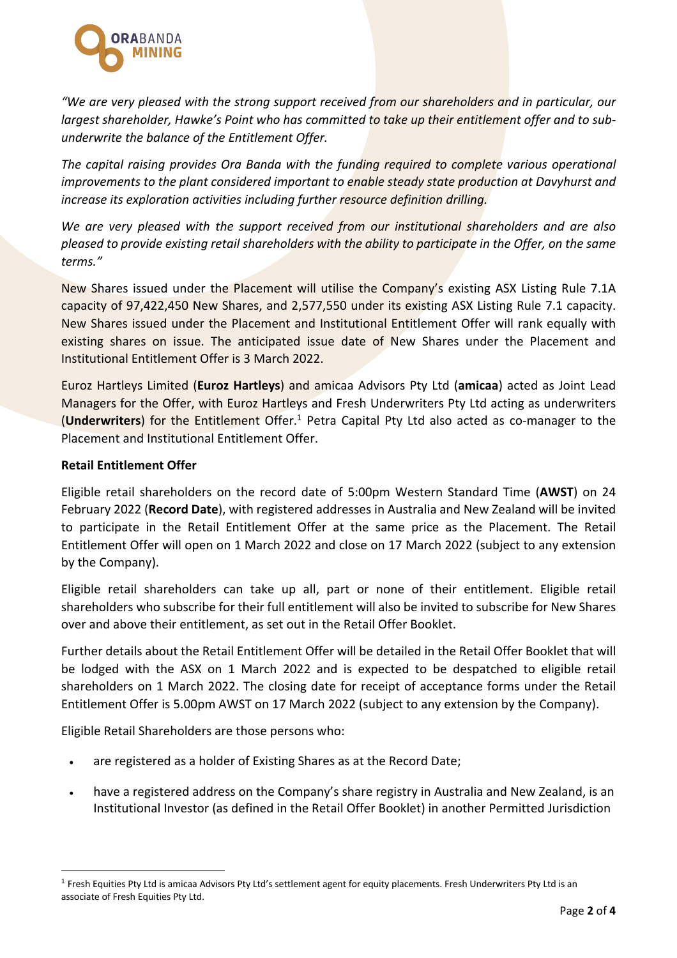

*"We are very pleased with the strong support received from our shareholders and in particular, our largest shareholder, Hawke's Point who has committed to take up their entitlement offer and to subunderwrite the balance of the Entitlement Offer.*

*The capital raising provides Ora Banda with the funding required to complete various operational improvements to the plant considered important to enable steady state production at Davyhurst and increase its exploration activities including further resource definition drilling.* 

*We are very pleased with the support received from our institutional shareholders and are also pleased to provide existing retail shareholders with the ability to participate in the Offer, on the same terms."* 

New Shares issued under the Placement will utilise the Company's existing ASX Listing Rule 7.1A capacity of 97,422,450 New Shares, and 2,577,550 under its existing ASX Listing Rule 7.1 capacity. New Shares issued under the Placement and Institutional Entitlement Offer will rank equally with existing shares on issue. The anticipated issue date of New Shares under the Placement and Institutional Entitlement Offer is 3 March 2022.

Euroz Hartleys Limited (**Euroz Hartleys**) and amicaa Advisors Pty Ltd (**amicaa**) acted as Joint Lead Managers for the Offer, with Euroz Hartleys and Fresh Underwriters Pty Ltd acting as underwriters (**Underwriters**) for the Entitlement Offer. <sup>1</sup> Petra Capital Pty Ltd also acted as co-manager to the Placement and Institutional Entitlement Offer.

## **Retail Entitlement Offer**

Eligible retail shareholders on the record date of 5:00pm Western Standard Time (**AWST**) on 24 February 2022 (**Record Date**), with registered addresses in Australia and New Zealand will be invited to participate in the Retail Entitlement Offer at the same price as the Placement. The Retail Entitlement Offer will open on 1 March 2022 and close on 17 March 2022 (subject to any extension by the Company).

Eligible retail shareholders can take up all, part or none of their entitlement. Eligible retail shareholders who subscribe for their full entitlement will also be invited to subscribe for New Shares over and above their entitlement, as set out in the Retail Offer Booklet.

Further details about the Retail Entitlement Offer will be detailed in the Retail Offer Booklet that will be lodged with the ASX on 1 March 2022 and is expected to be despatched to eligible retail shareholders on 1 March 2022. The closing date for receipt of acceptance forms under the Retail Entitlement Offer is 5.00pm AWST on 17 March 2022 (subject to any extension by the Company).

Eligible Retail Shareholders are those persons who:

- are registered as a holder of Existing Shares as at the Record Date;
- have a registered address on the Company's share registry in Australia and New Zealand, is an Institutional Investor (as defined in the Retail Offer Booklet) in another Permitted Jurisdiction

<sup>&</sup>lt;sup>1</sup> Fresh Equities Pty Ltd is amicaa Advisors Pty Ltd's settlement agent for equity placements. Fresh Underwriters Pty Ltd is an associate of Fresh Equities Pty Ltd.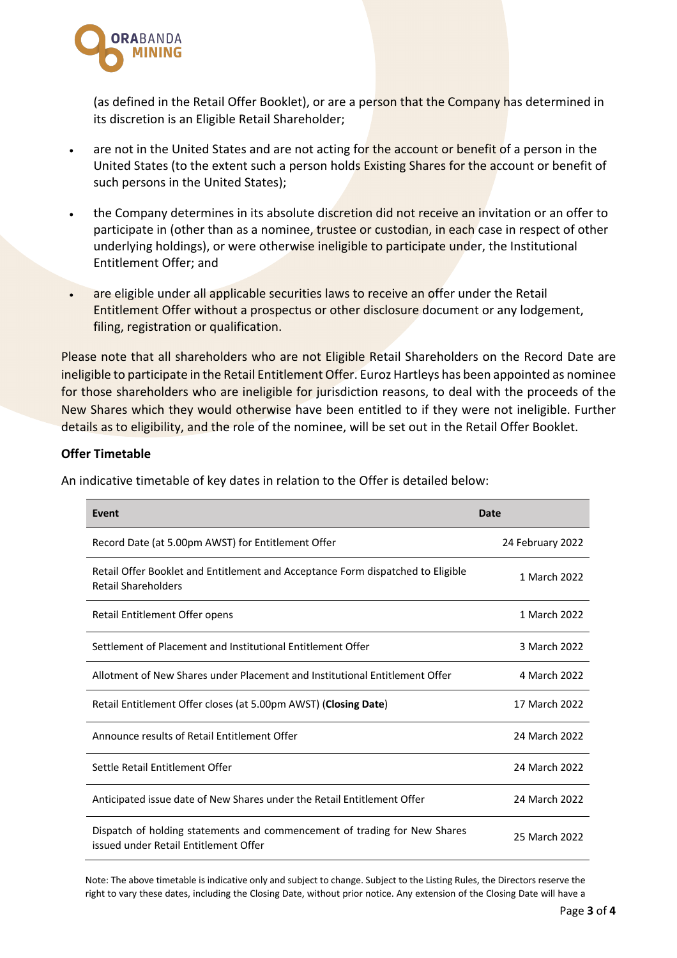

(as defined in the Retail Offer Booklet), or are a person that the Company has determined in its discretion is an Eligible Retail Shareholder;

- are not in the United States and are not acting for the account or benefit of a person in the United States (to the extent such a person holds Existing Shares for the account or benefit of such persons in the United States);
- the Company determines in its absolute discretion did not receive an invitation or an offer to participate in (other than as a nominee, trustee or custodian, in each case in respect of other underlying holdings), or were otherwise ineligible to participate under, the Institutional Entitlement Offer; and
- are eligible under all applicable securities laws to receive an offer under the Retail Entitlement Offer without a prospectus or other disclosure document or any lodgement, filing, registration or qualification.

Please note that all shareholders who are not Eligible Retail Shareholders on the Record Date are ineligible to participate in the Retail Entitlement Offer. Euroz Hartleys has been appointed as nominee for those shareholders who are ineligible for jurisdiction reasons, to deal with the proceeds of the New Shares which they would otherwise have been entitled to if they were not ineligible. Further details as to eligibility, and the role of the nominee, will be set out in the Retail Offer Booklet.

## **Offer Timetable**

An indicative timetable of key dates in relation to the Offer is detailed below:

| Event                                                                                                              | Date             |
|--------------------------------------------------------------------------------------------------------------------|------------------|
| Record Date (at 5.00pm AWST) for Entitlement Offer                                                                 | 24 February 2022 |
| Retail Offer Booklet and Entitlement and Acceptance Form dispatched to Eligible<br><b>Retail Shareholders</b>      | 1 March 2022     |
| Retail Entitlement Offer opens                                                                                     | 1 March 2022     |
| Settlement of Placement and Institutional Entitlement Offer                                                        | 3 March 2022     |
| Allotment of New Shares under Placement and Institutional Entitlement Offer                                        | 4 March 2022     |
| Retail Entitlement Offer closes (at 5.00pm AWST) (Closing Date)                                                    | 17 March 2022    |
| Announce results of Retail Entitlement Offer                                                                       | 24 March 2022    |
| Settle Retail Entitlement Offer                                                                                    | 24 March 2022    |
| Anticipated issue date of New Shares under the Retail Entitlement Offer                                            | 24 March 2022    |
| Dispatch of holding statements and commencement of trading for New Shares<br>issued under Retail Entitlement Offer | 25 March 2022    |

Note: The above timetable is indicative only and subject to change. Subject to the Listing Rules, the Directors reserve the right to vary these dates, including the Closing Date, without prior notice. Any extension of the Closing Date will have a